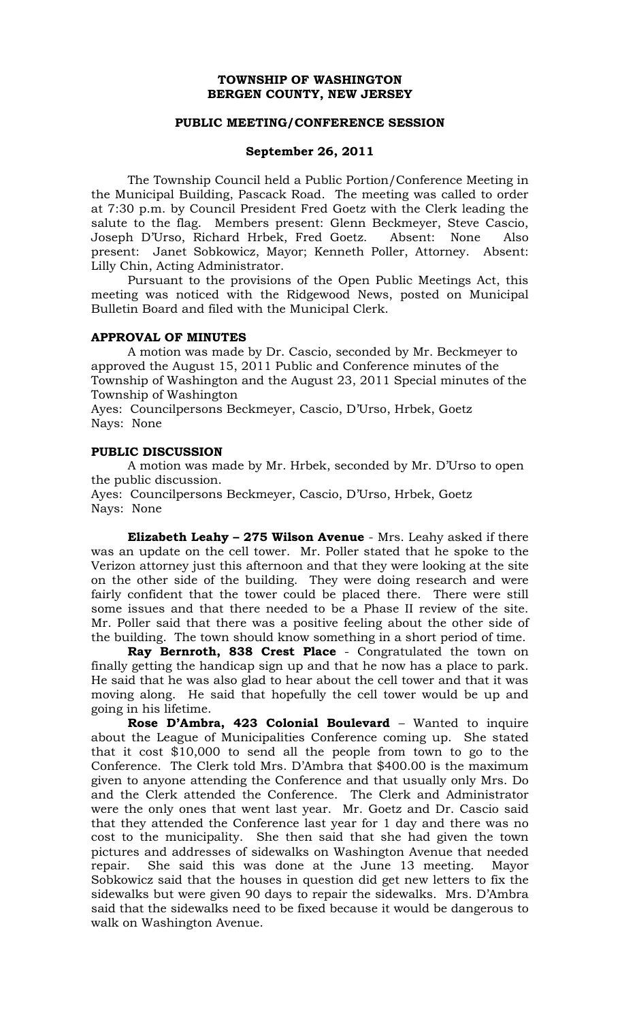## **TOWNSHIP OF WASHINGTON BERGEN COUNTY, NEW JERSEY**

#### **PUBLIC MEETING/CONFERENCE SESSION**

### **September 26, 2011**

The Township Council held a Public Portion/Conference Meeting in the Municipal Building, Pascack Road. The meeting was called to order at 7:30 p.m. by Council President Fred Goetz with the Clerk leading the salute to the flag. Members present: Glenn Beckmeyer, Steve Cascio, Joseph D'Urso, Richard Hrbek, Fred Goetz. Absent: None Also present: Janet Sobkowicz, Mayor; Kenneth Poller, Attorney. Absent: Lilly Chin, Acting Administrator.

Pursuant to the provisions of the Open Public Meetings Act, this meeting was noticed with the Ridgewood News, posted on Municipal Bulletin Board and filed with the Municipal Clerk.

#### **APPROVAL OF MINUTES**

A motion was made by Dr. Cascio, seconded by Mr. Beckmeyer to approved the August 15, 2011 Public and Conference minutes of the Township of Washington and the August 23, 2011 Special minutes of the Township of Washington

Ayes: Councilpersons Beckmeyer, Cascio, D'Urso, Hrbek, Goetz Nays: None

## **PUBLIC DISCUSSION**

A motion was made by Mr. Hrbek, seconded by Mr. D'Urso to open the public discussion.

Ayes: Councilpersons Beckmeyer, Cascio, D'Urso, Hrbek, Goetz Nays: None

**Elizabeth Leahy – 275 Wilson Avenue** - Mrs. Leahy asked if there was an update on the cell tower. Mr. Poller stated that he spoke to the Verizon attorney just this afternoon and that they were looking at the site on the other side of the building. They were doing research and were fairly confident that the tower could be placed there. There were still some issues and that there needed to be a Phase II review of the site. Mr. Poller said that there was a positive feeling about the other side of the building. The town should know something in a short period of time.

**Ray Bernroth, 838 Crest Place** - Congratulated the town on finally getting the handicap sign up and that he now has a place to park. He said that he was also glad to hear about the cell tower and that it was moving along. He said that hopefully the cell tower would be up and going in his lifetime.

**Rose D'Ambra, 423 Colonial Boulevard** – Wanted to inquire about the League of Municipalities Conference coming up. She stated that it cost \$10,000 to send all the people from town to go to the Conference. The Clerk told Mrs. D'Ambra that \$400.00 is the maximum given to anyone attending the Conference and that usually only Mrs. Do and the Clerk attended the Conference. The Clerk and Administrator were the only ones that went last year. Mr. Goetz and Dr. Cascio said that they attended the Conference last year for 1 day and there was no cost to the municipality. She then said that she had given the town pictures and addresses of sidewalks on Washington Avenue that needed repair. She said this was done at the June 13 meeting. Mayor Sobkowicz said that the houses in question did get new letters to fix the sidewalks but were given 90 days to repair the sidewalks. Mrs. D'Ambra said that the sidewalks need to be fixed because it would be dangerous to walk on Washington Avenue.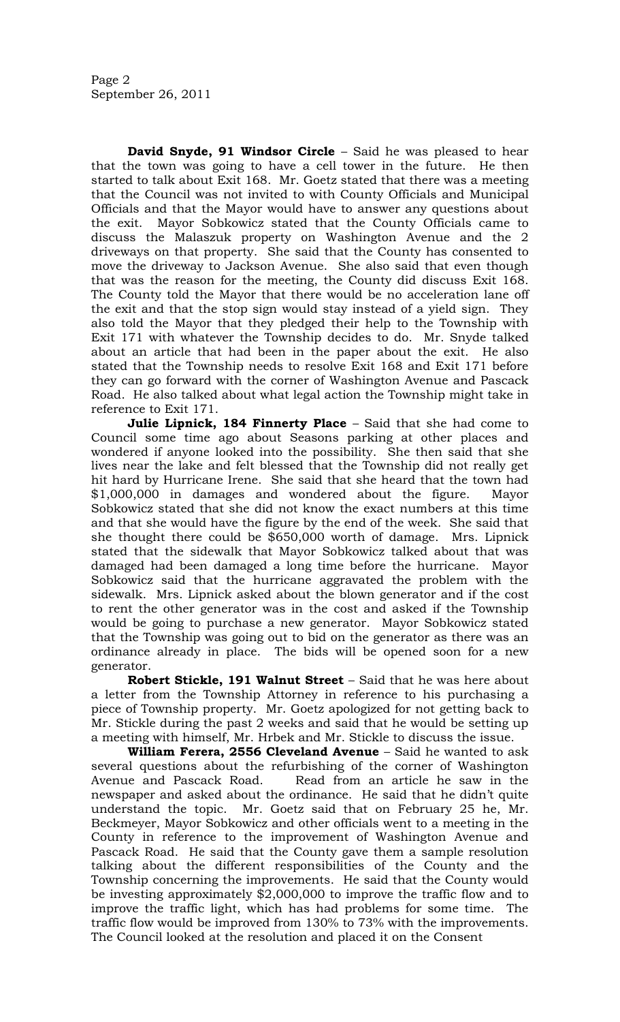**David Snyde, 91 Windsor Circle** – Said he was pleased to hear that the town was going to have a cell tower in the future. He then started to talk about Exit 168. Mr. Goetz stated that there was a meeting that the Council was not invited to with County Officials and Municipal Officials and that the Mayor would have to answer any questions about the exit. Mayor Sobkowicz stated that the County Officials came to discuss the Malaszuk property on Washington Avenue and the 2 driveways on that property. She said that the County has consented to move the driveway to Jackson Avenue. She also said that even though that was the reason for the meeting, the County did discuss Exit 168. The County told the Mayor that there would be no acceleration lane off the exit and that the stop sign would stay instead of a yield sign. They also told the Mayor that they pledged their help to the Township with Exit 171 with whatever the Township decides to do. Mr. Snyde talked about an article that had been in the paper about the exit. He also stated that the Township needs to resolve Exit 168 and Exit 171 before they can go forward with the corner of Washington Avenue and Pascack Road. He also talked about what legal action the Township might take in reference to Exit 171.

**Julie Lipnick, 184 Finnerty Place** – Said that she had come to Council some time ago about Seasons parking at other places and wondered if anyone looked into the possibility. She then said that she lives near the lake and felt blessed that the Township did not really get hit hard by Hurricane Irene. She said that she heard that the town had \$1,000,000 in damages and wondered about the figure. Mayor Sobkowicz stated that she did not know the exact numbers at this time and that she would have the figure by the end of the week. She said that she thought there could be \$650,000 worth of damage. Mrs. Lipnick stated that the sidewalk that Mayor Sobkowicz talked about that was damaged had been damaged a long time before the hurricane. Mayor Sobkowicz said that the hurricane aggravated the problem with the sidewalk. Mrs. Lipnick asked about the blown generator and if the cost to rent the other generator was in the cost and asked if the Township would be going to purchase a new generator. Mayor Sobkowicz stated that the Township was going out to bid on the generator as there was an ordinance already in place. The bids will be opened soon for a new generator.

**Robert Stickle, 191 Walnut Street** – Said that he was here about a letter from the Township Attorney in reference to his purchasing a piece of Township property. Mr. Goetz apologized for not getting back to Mr. Stickle during the past 2 weeks and said that he would be setting up a meeting with himself, Mr. Hrbek and Mr. Stickle to discuss the issue.

**William Ferera, 2556 Cleveland Avenue** – Said he wanted to ask several questions about the refurbishing of the corner of Washington Avenue and Pascack Road. Read from an article he saw in the newspaper and asked about the ordinance. He said that he didn't quite understand the topic. Mr. Goetz said that on February 25 he, Mr. Beckmeyer, Mayor Sobkowicz and other officials went to a meeting in the County in reference to the improvement of Washington Avenue and Pascack Road. He said that the County gave them a sample resolution talking about the different responsibilities of the County and the Township concerning the improvements. He said that the County would be investing approximately \$2,000,000 to improve the traffic flow and to improve the traffic light, which has had problems for some time. The traffic flow would be improved from 130% to 73% with the improvements. The Council looked at the resolution and placed it on the Consent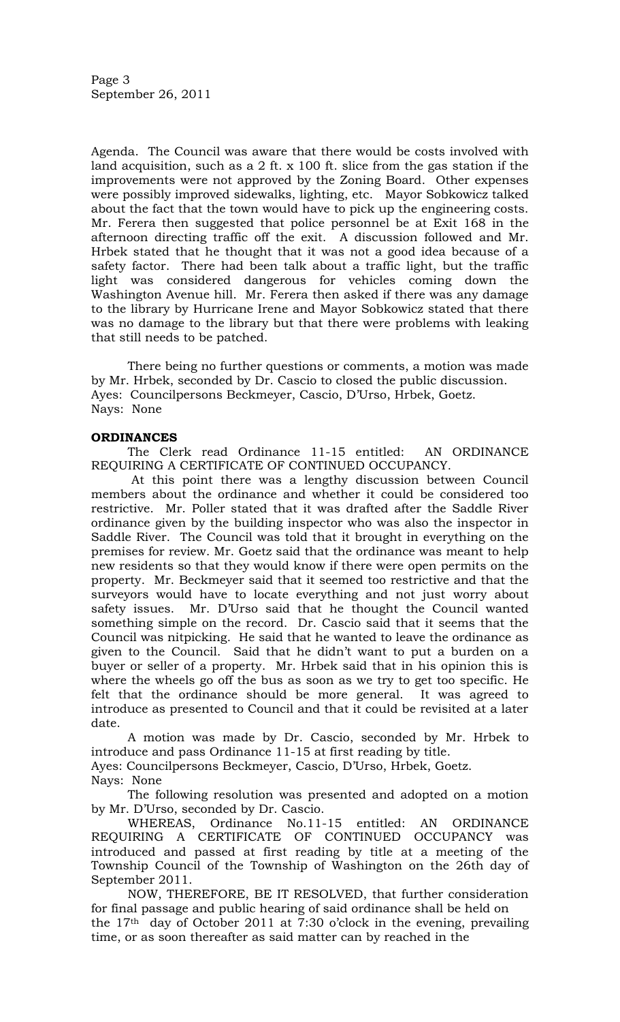Agenda. The Council was aware that there would be costs involved with land acquisition, such as a 2 ft. x 100 ft. slice from the gas station if the improvements were not approved by the Zoning Board. Other expenses were possibly improved sidewalks, lighting, etc. Mayor Sobkowicz talked about the fact that the town would have to pick up the engineering costs. Mr. Ferera then suggested that police personnel be at Exit 168 in the afternoon directing traffic off the exit. A discussion followed and Mr. Hrbek stated that he thought that it was not a good idea because of a safety factor. There had been talk about a traffic light, but the traffic light was considered dangerous for vehicles coming down the Washington Avenue hill. Mr. Ferera then asked if there was any damage to the library by Hurricane Irene and Mayor Sobkowicz stated that there was no damage to the library but that there were problems with leaking that still needs to be patched.

There being no further questions or comments, a motion was made by Mr. Hrbek, seconded by Dr. Cascio to closed the public discussion. Ayes: Councilpersons Beckmeyer, Cascio, D'Urso, Hrbek, Goetz. Nays: None

# **ORDINANCES**

The Clerk read Ordinance 11-15 entitled: AN ORDINANCE REQUIRING A CERTIFICATE OF CONTINUED OCCUPANCY.

At this point there was a lengthy discussion between Council members about the ordinance and whether it could be considered too restrictive. Mr. Poller stated that it was drafted after the Saddle River ordinance given by the building inspector who was also the inspector in Saddle River. The Council was told that it brought in everything on the premises for review. Mr. Goetz said that the ordinance was meant to help new residents so that they would know if there were open permits on the property. Mr. Beckmeyer said that it seemed too restrictive and that the surveyors would have to locate everything and not just worry about safety issues. Mr. D'Urso said that he thought the Council wanted something simple on the record. Dr. Cascio said that it seems that the Council was nitpicking. He said that he wanted to leave the ordinance as given to the Council. Said that he didn't want to put a burden on a buyer or seller of a property. Mr. Hrbek said that in his opinion this is where the wheels go off the bus as soon as we try to get too specific. He felt that the ordinance should be more general. It was agreed to introduce as presented to Council and that it could be revisited at a later date.

A motion was made by Dr. Cascio, seconded by Mr. Hrbek to introduce and pass Ordinance 11-15 at first reading by title.

Ayes: Councilpersons Beckmeyer, Cascio, D'Urso, Hrbek, Goetz. Nays: None

The following resolution was presented and adopted on a motion by Mr. D'Urso, seconded by Dr. Cascio.

WHEREAS, Ordinance No.11-15 entitled: AN ORDINANCE REQUIRING A CERTIFICATE OF CONTINUED OCCUPANCY was introduced and passed at first reading by title at a meeting of the Township Council of the Township of Washington on the 26th day of September 2011.

NOW, THEREFORE, BE IT RESOLVED, that further consideration for final passage and public hearing of said ordinance shall be held on the  $17<sup>th</sup>$  day of October 2011 at 7:30 o'clock in the evening, prevailing time, or as soon thereafter as said matter can by reached in the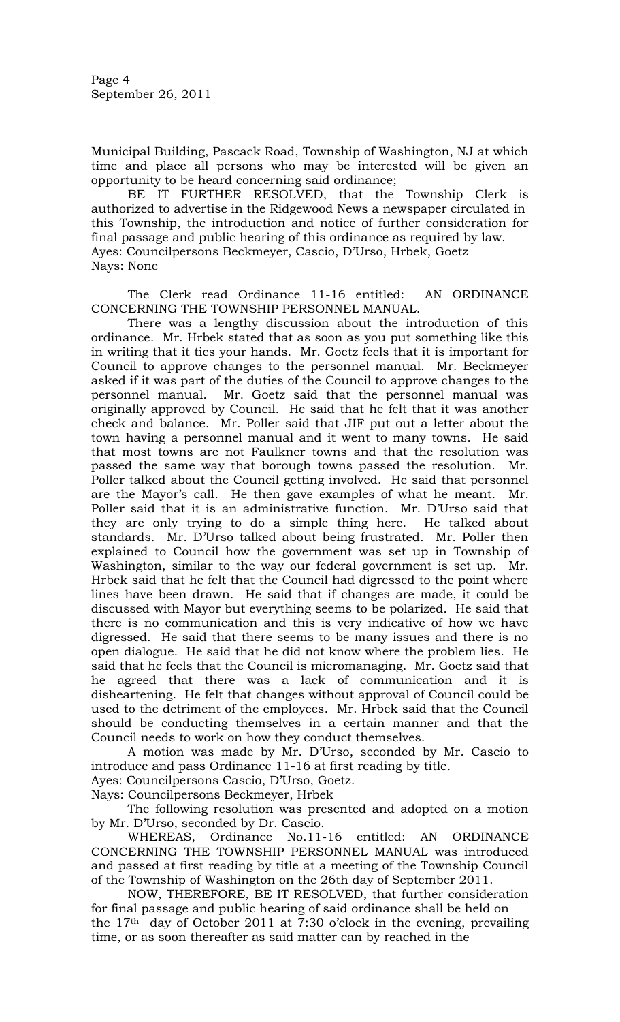Municipal Building, Pascack Road, Township of Washington, NJ at which time and place all persons who may be interested will be given an opportunity to be heard concerning said ordinance;

BE IT FURTHER RESOLVED, that the Township Clerk is authorized to advertise in the Ridgewood News a newspaper circulated in this Township, the introduction and notice of further consideration for final passage and public hearing of this ordinance as required by law. Ayes: Councilpersons Beckmeyer, Cascio, D'Urso, Hrbek, Goetz Nays: None

The Clerk read Ordinance 11-16 entitled: AN ORDINANCE CONCERNING THE TOWNSHIP PERSONNEL MANUAL.

There was a lengthy discussion about the introduction of this ordinance. Mr. Hrbek stated that as soon as you put something like this in writing that it ties your hands. Mr. Goetz feels that it is important for Council to approve changes to the personnel manual. Mr. Beckmeyer asked if it was part of the duties of the Council to approve changes to the personnel manual. Mr. Goetz said that the personnel manual was originally approved by Council. He said that he felt that it was another check and balance. Mr. Poller said that JIF put out a letter about the town having a personnel manual and it went to many towns. He said that most towns are not Faulkner towns and that the resolution was passed the same way that borough towns passed the resolution. Mr. Poller talked about the Council getting involved. He said that personnel are the Mayor's call. He then gave examples of what he meant. Mr. Poller said that it is an administrative function. Mr. D'Urso said that they are only trying to do a simple thing here. He talked about standards. Mr. D'Urso talked about being frustrated. Mr. Poller then explained to Council how the government was set up in Township of Washington, similar to the way our federal government is set up. Mr. Hrbek said that he felt that the Council had digressed to the point where lines have been drawn. He said that if changes are made, it could be discussed with Mayor but everything seems to be polarized. He said that there is no communication and this is very indicative of how we have digressed. He said that there seems to be many issues and there is no open dialogue. He said that he did not know where the problem lies. He said that he feels that the Council is micromanaging. Mr. Goetz said that he agreed that there was a lack of communication and it is disheartening. He felt that changes without approval of Council could be used to the detriment of the employees. Mr. Hrbek said that the Council should be conducting themselves in a certain manner and that the Council needs to work on how they conduct themselves.

A motion was made by Mr. D'Urso, seconded by Mr. Cascio to introduce and pass Ordinance 11-16 at first reading by title.

Ayes: Councilpersons Cascio, D'Urso, Goetz.

Nays: Councilpersons Beckmeyer, Hrbek

The following resolution was presented and adopted on a motion by Mr. D'Urso, seconded by Dr. Cascio.

WHEREAS, Ordinance No.11-16 entitled: AN ORDINANCE CONCERNING THE TOWNSHIP PERSONNEL MANUAL was introduced and passed at first reading by title at a meeting of the Township Council of the Township of Washington on the 26th day of September 2011.

NOW, THEREFORE, BE IT RESOLVED, that further consideration for final passage and public hearing of said ordinance shall be held on the  $17<sup>th</sup>$  day of October 2011 at 7:30 o'clock in the evening, prevailing time, or as soon thereafter as said matter can by reached in the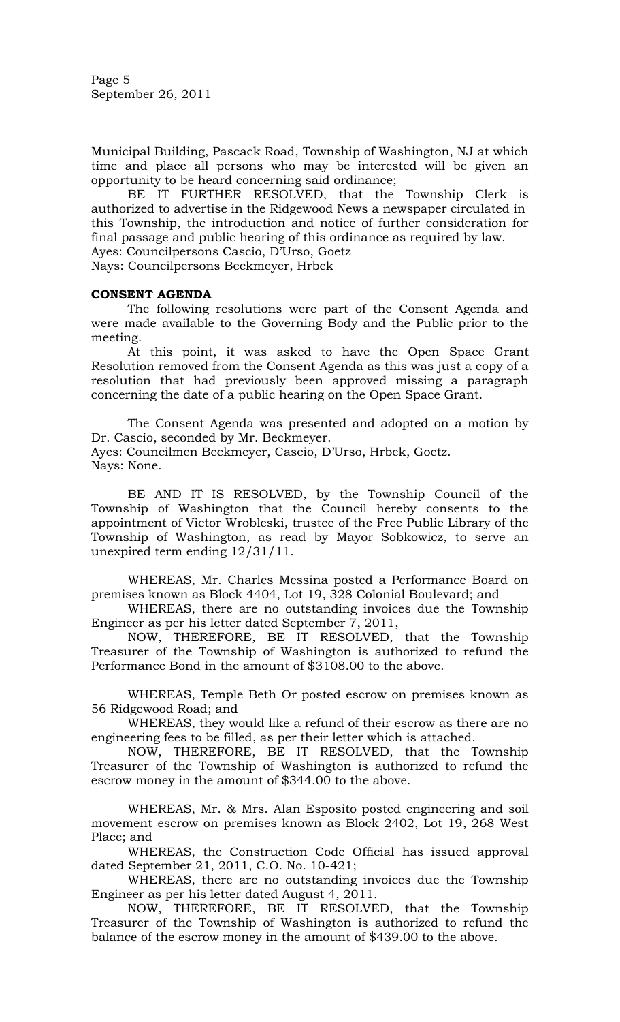Page 5 September 26, 2011

Municipal Building, Pascack Road, Township of Washington, NJ at which time and place all persons who may be interested will be given an opportunity to be heard concerning said ordinance;

BE IT FURTHER RESOLVED, that the Township Clerk is authorized to advertise in the Ridgewood News a newspaper circulated in this Township, the introduction and notice of further consideration for final passage and public hearing of this ordinance as required by law.

Ayes: Councilpersons Cascio, D'Urso, Goetz

Nays: Councilpersons Beckmeyer, Hrbek

## **CONSENT AGENDA**

The following resolutions were part of the Consent Agenda and were made available to the Governing Body and the Public prior to the meeting.

At this point, it was asked to have the Open Space Grant Resolution removed from the Consent Agenda as this was just a copy of a resolution that had previously been approved missing a paragraph concerning the date of a public hearing on the Open Space Grant.

The Consent Agenda was presented and adopted on a motion by Dr. Cascio, seconded by Mr. Beckmeyer. Ayes: Councilmen Beckmeyer, Cascio, D'Urso, Hrbek, Goetz. Nays: None.

BE AND IT IS RESOLVED, by the Township Council of the Township of Washington that the Council hereby consents to the appointment of Victor Wrobleski, trustee of the Free Public Library of the Township of Washington, as read by Mayor Sobkowicz, to serve an unexpired term ending 12/31/11.

WHEREAS, Mr. Charles Messina posted a Performance Board on premises known as Block 4404, Lot 19, 328 Colonial Boulevard; and

WHEREAS, there are no outstanding invoices due the Township Engineer as per his letter dated September 7, 2011,

NOW, THEREFORE, BE IT RESOLVED, that the Township Treasurer of the Township of Washington is authorized to refund the Performance Bond in the amount of \$3108.00 to the above.

WHEREAS, Temple Beth Or posted escrow on premises known as 56 Ridgewood Road; and

WHEREAS, they would like a refund of their escrow as there are no engineering fees to be filled, as per their letter which is attached.

NOW, THEREFORE, BE IT RESOLVED, that the Township Treasurer of the Township of Washington is authorized to refund the escrow money in the amount of \$344.00 to the above.

WHEREAS, Mr. & Mrs. Alan Esposito posted engineering and soil movement escrow on premises known as Block 2402, Lot 19, 268 West Place; and

WHEREAS, the Construction Code Official has issued approval dated September 21, 2011, C.O. No. 10-421;

WHEREAS, there are no outstanding invoices due the Township Engineer as per his letter dated August 4, 2011.

NOW, THEREFORE, BE IT RESOLVED, that the Township Treasurer of the Township of Washington is authorized to refund the balance of the escrow money in the amount of \$439.00 to the above.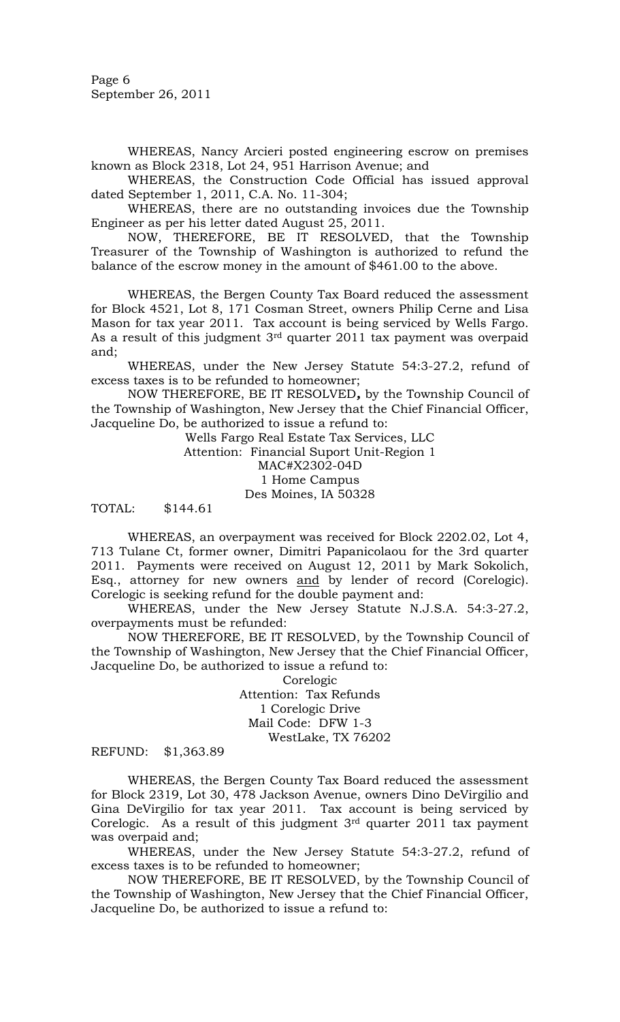Page 6 September 26, 2011

WHEREAS, Nancy Arcieri posted engineering escrow on premises known as Block 2318, Lot 24, 951 Harrison Avenue; and

WHEREAS, the Construction Code Official has issued approval dated September 1, 2011, C.A. No. 11-304;

WHEREAS, there are no outstanding invoices due the Township Engineer as per his letter dated August 25, 2011.

NOW, THEREFORE, BE IT RESOLVED, that the Township Treasurer of the Township of Washington is authorized to refund the balance of the escrow money in the amount of \$461.00 to the above.

WHEREAS, the Bergen County Tax Board reduced the assessment for Block 4521, Lot 8, 171 Cosman Street, owners Philip Cerne and Lisa Mason for tax year 2011. Tax account is being serviced by Wells Fargo. As a result of this judgment  $3<sup>rd</sup>$  quarter 2011 tax payment was overpaid and;

WHEREAS, under the New Jersey Statute 54:3-27.2, refund of excess taxes is to be refunded to homeowner;

NOW THEREFORE, BE IT RESOLVED*,* by the Township Council of the Township of Washington, New Jersey that the Chief Financial Officer, Jacqueline Do, be authorized to issue a refund to:

> Wells Fargo Real Estate Tax Services, LLC Attention: Financial Suport Unit-Region 1 MAC#X2302-04D 1 Home Campus Des Moines, IA 50328

TOTAL: \$144.61

WHEREAS, an overpayment was received for Block 2202.02, Lot 4, 713 Tulane Ct, former owner, Dimitri Papanicolaou for the 3rd quarter 2011. Payments were received on August 12, 2011 by Mark Sokolich, Esq., attorney for new owners and by lender of record (Corelogic). Corelogic is seeking refund for the double payment and:

WHEREAS, under the New Jersey Statute N.J.S.A. 54:3-27.2, overpayments must be refunded:

NOW THEREFORE, BE IT RESOLVED, by the Township Council of the Township of Washington, New Jersey that the Chief Financial Officer, Jacqueline Do, be authorized to issue a refund to:

> Corelogic Attention: Tax Refunds 1 Corelogic Drive Mail Code: DFW 1-3 WestLake, TX 76202

REFUND: \$1,363.89

WHEREAS, the Bergen County Tax Board reduced the assessment for Block 2319, Lot 30, 478 Jackson Avenue, owners Dino DeVirgilio and Gina DeVirgilio for tax year 2011. Tax account is being serviced by Corelogic. As a result of this judgment  $3<sup>rd</sup>$  quarter 2011 tax payment was overpaid and;

WHEREAS, under the New Jersey Statute 54:3-27.2, refund of excess taxes is to be refunded to homeowner;

NOW THEREFORE, BE IT RESOLVED, by the Township Council of the Township of Washington, New Jersey that the Chief Financial Officer, Jacqueline Do, be authorized to issue a refund to: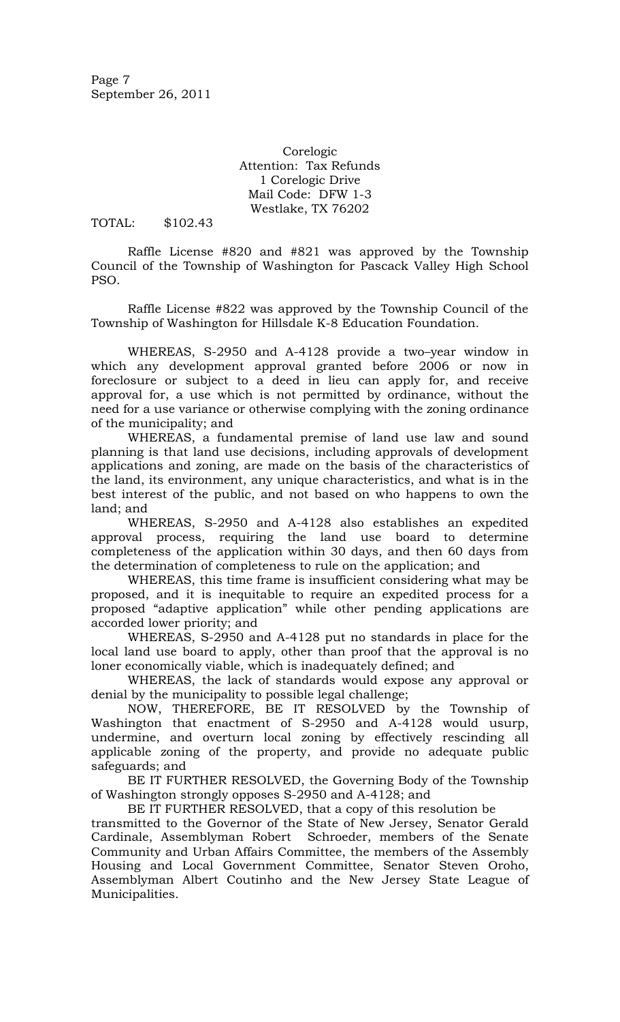Corelogic Attention: Tax Refunds 1 Corelogic Drive Mail Code: DFW 1-3 Westlake, TX 76202

TOTAL: \$102.43

Raffle License #820 and #821 was approved by the Township Council of the Township of Washington for Pascack Valley High School PSO.

Raffle License #822 was approved by the Township Council of the Township of Washington for Hillsdale K-8 Education Foundation.

WHEREAS, S-2950 and A-4128 provide a two–year window in which any development approval granted before 2006 or now in foreclosure or subject to a deed in lieu can apply for, and receive approval for, a use which is not permitted by ordinance, without the need for a use variance or otherwise complying with the zoning ordinance of the municipality; and

WHEREAS, a fundamental premise of land use law and sound planning is that land use decisions, including approvals of development applications and zoning, are made on the basis of the characteristics of the land, its environment, any unique characteristics, and what is in the best interest of the public, and not based on who happens to own the land; and

WHEREAS, S-2950 and A-4128 also establishes an expedited approval process, requiring the land use board to determine completeness of the application within 30 days, and then 60 days from the determination of completeness to rule on the application; and

WHEREAS, this time frame is insufficient considering what may be proposed, and it is inequitable to require an expedited process for a proposed "adaptive application" while other pending applications are accorded lower priority; and

WHEREAS, S-2950 and A-4128 put no standards in place for the local land use board to apply, other than proof that the approval is no loner economically viable, which is inadequately defined; and

WHEREAS, the lack of standards would expose any approval or denial by the municipality to possible legal challenge;

NOW, THEREFORE, BE IT RESOLVED by the Township of Washington that enactment of S-2950 and A-4128 would usurp, undermine, and overturn local zoning by effectively rescinding all applicable zoning of the property, and provide no adequate public safeguards; and

BE IT FURTHER RESOLVED, the Governing Body of the Township of Washington strongly opposes S-2950 and A-4128; and

BE IT FURTHER RESOLVED, that a copy of this resolution be transmitted to the Governor of the State of New Jersey, Senator Gerald Cardinale, Assemblyman Robert Schroeder, members of the Senate Community and Urban Affairs Committee, the members of the Assembly Housing and Local Government Committee, Senator Steven Oroho, Assemblyman Albert Coutinho and the New Jersey State League of Municipalities.